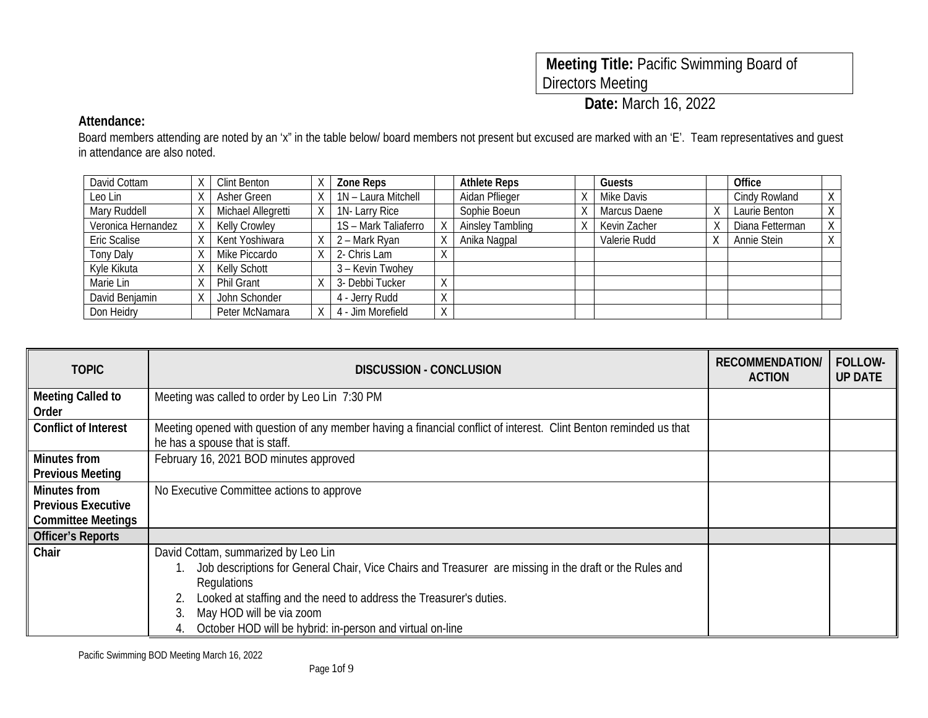| Meeting Title: Pacific Swimming Board of |  |
|------------------------------------------|--|
| Directors Meeting                        |  |

**Date:** March 16, 2022

### **Attendance:**

Board members attending are noted by an 'x" in the table below/ board members not present but excused are marked with an 'E'. Team representatives and guest in attendance are also noted.

| David Cottam       | Clint Benton        | Zone Reps            |                   | <b>Athlete Reps</b>     | Guests       | Office          |   |
|--------------------|---------------------|----------------------|-------------------|-------------------------|--------------|-----------------|---|
| Leo Lin            | Asher Green         | 1N - Laura Mitchell  |                   | Aidan Pflieger          | Mike Davis   | Cindy Rowland   | Χ |
| Mary Ruddell       | Michael Allegretti  | 1N-Larry Rice        |                   | Sophie Boeun            | Marcus Daene | Laurie Benton   | Χ |
| Veronica Hernandez | Kelly Crowley       | 1S - Mark Taliaferro |                   | <b>Ainsley Tambling</b> | Kevin Zacher | Diana Fetterman | χ |
| Eric Scalise       | Kent Yoshiwara      | 2 – Mark Ryan        |                   | Anika Nagpal            | Valerie Rudd | Annie Stein     |   |
| <b>Tony Daly</b>   | Mike Piccardo       | 2- Chris Lam         |                   |                         |              |                 |   |
| Kyle Kikuta        | <b>Kelly Schott</b> | 3 - Kevin Twohey     |                   |                         |              |                 |   |
| Marie Lin          | <b>Phil Grant</b>   | 3- Debbi Tucker      | $\checkmark$      |                         |              |                 |   |
| David Benjamin     | John Schonder       | 4 - Jerry Rudd       | $\mathcal{L}$     |                         |              |                 |   |
| Don Heidry         | Peter McNamara      | 4 - Jim Morefield    | $\checkmark$<br>Λ |                         |              |                 |   |

| <b>TOPIC</b>                                   | DISCUSSION - CONCLUSION                                                                                                                             | <b>RECOMMENDATION</b><br><b>ACTION</b> | <b>FOLLOW-</b><br><b>UP DATE</b> |
|------------------------------------------------|-----------------------------------------------------------------------------------------------------------------------------------------------------|----------------------------------------|----------------------------------|
| <b>Meeting Called to</b><br>Order              | Meeting was called to order by Leo Lin 7:30 PM                                                                                                      |                                        |                                  |
| <b>Conflict of Interest</b>                    | Meeting opened with question of any member having a financial conflict of interest. Clint Benton reminded us that<br>he has a spouse that is staff. |                                        |                                  |
| <b>Minutes from</b><br><b>Previous Meeting</b> | February 16, 2021 BOD minutes approved                                                                                                              |                                        |                                  |
| <b>Minutes from</b>                            | No Executive Committee actions to approve                                                                                                           |                                        |                                  |
| <b>Previous Executive</b>                      |                                                                                                                                                     |                                        |                                  |
| <b>Committee Meetings</b>                      |                                                                                                                                                     |                                        |                                  |
| <b>Officer's Reports</b>                       |                                                                                                                                                     |                                        |                                  |
| Chair                                          | David Cottam, summarized by Leo Lin                                                                                                                 |                                        |                                  |
|                                                | Job descriptions for General Chair, Vice Chairs and Treasurer are missing in the draft or the Rules and                                             |                                        |                                  |
|                                                | Regulations                                                                                                                                         |                                        |                                  |
|                                                | Looked at staffing and the need to address the Treasurer's duties.                                                                                  |                                        |                                  |
|                                                | May HOD will be via zoom                                                                                                                            |                                        |                                  |
|                                                | October HOD will be hybrid: in-person and virtual on-line                                                                                           |                                        |                                  |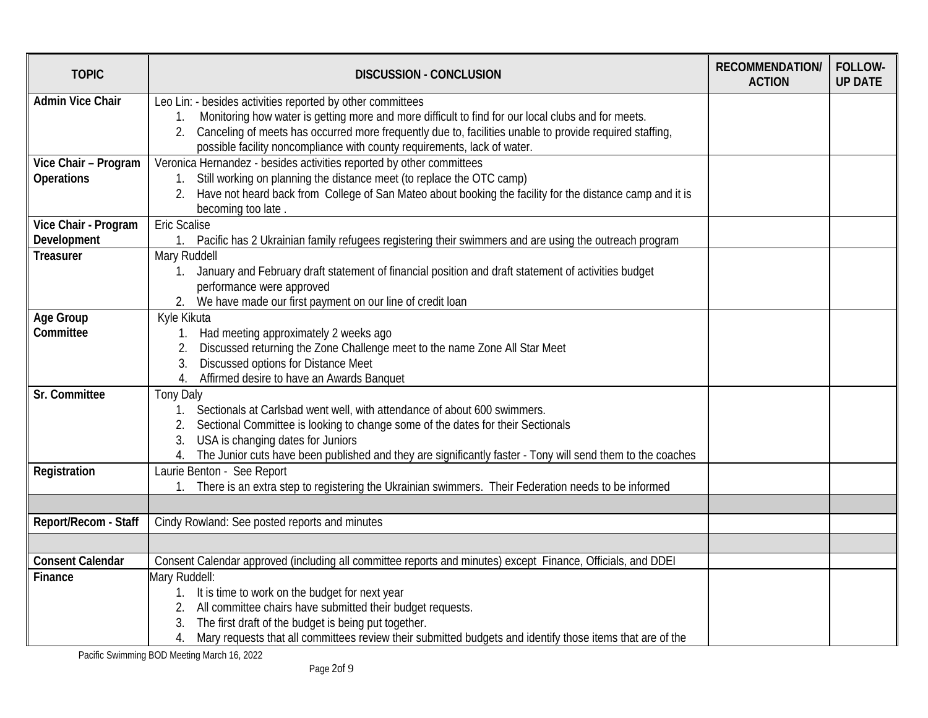| <b>TOPIC</b>                              | <b>DISCUSSION - CONCLUSION</b>                                                                                                                                                                                                                                                                                                                                | <b>RECOMMENDATION/</b><br><b>ACTION</b> | FOLLOW-<br><b>UP DATE</b> |
|-------------------------------------------|---------------------------------------------------------------------------------------------------------------------------------------------------------------------------------------------------------------------------------------------------------------------------------------------------------------------------------------------------------------|-----------------------------------------|---------------------------|
| <b>Admin Vice Chair</b>                   | Leo Lin: - besides activities reported by other committees<br>Monitoring how water is getting more and more difficult to find for our local clubs and for meets.<br>Canceling of meets has occurred more frequently due to, facilities unable to provide required staffing,<br>2.<br>possible facility noncompliance with county requirements, lack of water. |                                         |                           |
| Vice Chair - Program<br><b>Operations</b> | Veronica Hernandez - besides activities reported by other committees<br>Still working on planning the distance meet (to replace the OTC camp)<br>$1_{-}$<br>Have not heard back from College of San Mateo about booking the facility for the distance camp and it is<br>2.<br>becoming too late.                                                              |                                         |                           |
| Vice Chair - Program                      | <b>Eric Scalise</b>                                                                                                                                                                                                                                                                                                                                           |                                         |                           |
| Development                               | Pacific has 2 Ukrainian family refugees registering their swimmers and are using the outreach program<br>1 <sub>1</sub>                                                                                                                                                                                                                                       |                                         |                           |
| <b>Treasurer</b>                          | Mary Ruddell<br>January and February draft statement of financial position and draft statement of activities budget<br>1.<br>performance were approved<br>We have made our first payment on our line of credit loan                                                                                                                                           |                                         |                           |
| Age Group<br>Committee                    | Kyle Kikuta<br>Had meeting approximately 2 weeks ago<br>$1_{\cdot}$<br>Discussed returning the Zone Challenge meet to the name Zone All Star Meet<br>Discussed options for Distance Meet<br>3.<br>Affirmed desire to have an Awards Banquet<br>4.                                                                                                             |                                         |                           |
| Sr. Committee                             | <b>Tony Daly</b><br>Sectionals at Carlsbad went well, with attendance of about 600 swimmers.<br>$1_{\cdot}$<br>Sectional Committee is looking to change some of the dates for their Sectionals<br>USA is changing dates for Juniors<br>The Junior cuts have been published and they are significantly faster - Tony will send them to the coaches<br>4.       |                                         |                           |
| Registration                              | Laurie Benton - See Report<br>There is an extra step to registering the Ukrainian swimmers. Their Federation needs to be informed                                                                                                                                                                                                                             |                                         |                           |
| Report/Recom - Staff                      | Cindy Rowland: See posted reports and minutes                                                                                                                                                                                                                                                                                                                 |                                         |                           |
|                                           |                                                                                                                                                                                                                                                                                                                                                               |                                         |                           |
| <b>Consent Calendar</b>                   | Consent Calendar approved (including all committee reports and minutes) except Finance, Officials, and DDEI                                                                                                                                                                                                                                                   |                                         |                           |
| Finance                                   | Mary Ruddell:<br>It is time to work on the budget for next year<br>$1_{\cdot}$<br>All committee chairs have submitted their budget requests.<br>2.<br>The first draft of the budget is being put together.<br>Mary requests that all committees review their submitted budgets and identify those items that are of the<br>4.                                 |                                         |                           |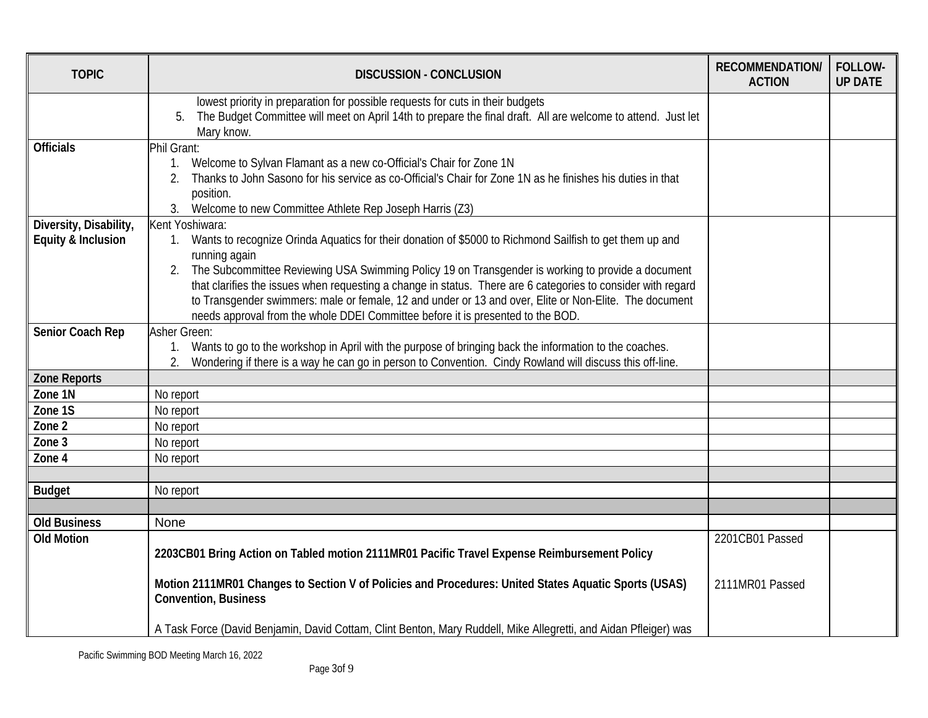| <b>TOPIC</b>           | <b>DISCUSSION - CONCLUSION</b>                                                                                                                                                                                                                                                                                                                                                                                       | <b>RECOMMENDATION/</b><br><b>ACTION</b> | FOLLOW-<br><b>UP DATE</b> |
|------------------------|----------------------------------------------------------------------------------------------------------------------------------------------------------------------------------------------------------------------------------------------------------------------------------------------------------------------------------------------------------------------------------------------------------------------|-----------------------------------------|---------------------------|
|                        | lowest priority in preparation for possible requests for cuts in their budgets<br>The Budget Committee will meet on April 14th to prepare the final draft. All are welcome to attend. Just let<br>5.<br>Mary know.                                                                                                                                                                                                   |                                         |                           |
| <b>Officials</b>       | Phil Grant:                                                                                                                                                                                                                                                                                                                                                                                                          |                                         |                           |
|                        | Welcome to Sylvan Flamant as a new co-Official's Chair for Zone 1N<br>1 <sub>1</sub><br>Thanks to John Sasono for his service as co-Official's Chair for Zone 1N as he finishes his duties in that<br>2.<br>position.<br>3.<br>Welcome to new Committee Athlete Rep Joseph Harris (Z3)                                                                                                                               |                                         |                           |
| Diversity, Disability, | Kent Yoshiwara:                                                                                                                                                                                                                                                                                                                                                                                                      |                                         |                           |
| Equity & Inclusion     | 1. Wants to recognize Orinda Aquatics for their donation of \$5000 to Richmond Sailfish to get them up and<br>running again                                                                                                                                                                                                                                                                                          |                                         |                           |
|                        | The Subcommittee Reviewing USA Swimming Policy 19 on Transgender is working to provide a document<br>2.<br>that clarifies the issues when requesting a change in status. There are 6 categories to consider with regard<br>to Transgender swimmers: male or female, 12 and under or 13 and over, Elite or Non-Elite. The document<br>needs approval from the whole DDEI Committee before it is presented to the BOD. |                                         |                           |
| Senior Coach Rep       | Asher Green:                                                                                                                                                                                                                                                                                                                                                                                                         |                                         |                           |
|                        | 1. Wants to go to the workshop in April with the purpose of bringing back the information to the coaches.<br>Wondering if there is a way he can go in person to Convention. Cindy Rowland will discuss this off-line.                                                                                                                                                                                                |                                         |                           |
| Zone Reports           |                                                                                                                                                                                                                                                                                                                                                                                                                      |                                         |                           |
| Zone 1N                | No report                                                                                                                                                                                                                                                                                                                                                                                                            |                                         |                           |
| Zone 1S                | No report                                                                                                                                                                                                                                                                                                                                                                                                            |                                         |                           |
| Zone 2                 | No report                                                                                                                                                                                                                                                                                                                                                                                                            |                                         |                           |
| Zone 3                 | No report                                                                                                                                                                                                                                                                                                                                                                                                            |                                         |                           |
| Zone 4                 | No report                                                                                                                                                                                                                                                                                                                                                                                                            |                                         |                           |
|                        |                                                                                                                                                                                                                                                                                                                                                                                                                      |                                         |                           |
| <b>Budget</b>          | No report                                                                                                                                                                                                                                                                                                                                                                                                            |                                         |                           |
|                        |                                                                                                                                                                                                                                                                                                                                                                                                                      |                                         |                           |
| <b>Old Business</b>    | None                                                                                                                                                                                                                                                                                                                                                                                                                 |                                         |                           |
| <b>Old Motion</b>      | 2203CB01 Bring Action on Tabled motion 2111MR01 Pacific Travel Expense Reimbursement Policy                                                                                                                                                                                                                                                                                                                          | 2201CB01 Passed                         |                           |
|                        | Motion 2111MR01 Changes to Section V of Policies and Procedures: United States Aquatic Sports (USAS)<br><b>Convention, Business</b>                                                                                                                                                                                                                                                                                  | 2111MR01 Passed                         |                           |
|                        | A Task Force (David Benjamin, David Cottam, Clint Benton, Mary Ruddell, Mike Allegretti, and Aidan Pfleiger) was                                                                                                                                                                                                                                                                                                     |                                         |                           |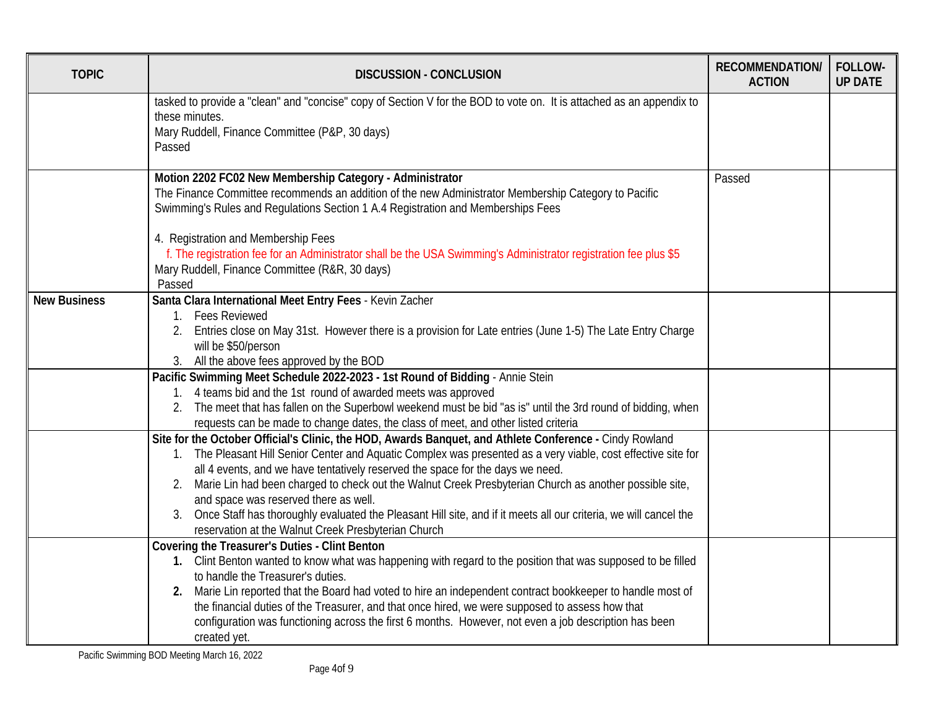| <b>TOPIC</b>        | <b>DISCUSSION - CONCLUSION</b>                                                                                                                                                                                                                                                                                                                                                                                                                                                                                                                                                                                                                  | <b>RECOMMENDATION/</b><br><b>ACTION</b> | FOLLOW-<br><b>UP DATE</b> |
|---------------------|-------------------------------------------------------------------------------------------------------------------------------------------------------------------------------------------------------------------------------------------------------------------------------------------------------------------------------------------------------------------------------------------------------------------------------------------------------------------------------------------------------------------------------------------------------------------------------------------------------------------------------------------------|-----------------------------------------|---------------------------|
|                     | tasked to provide a "clean" and "concise" copy of Section V for the BOD to vote on. It is attached as an appendix to<br>these minutes.<br>Mary Ruddell, Finance Committee (P&P, 30 days)<br>Passed                                                                                                                                                                                                                                                                                                                                                                                                                                              |                                         |                           |
|                     | Motion 2202 FC02 New Membership Category - Administrator<br>The Finance Committee recommends an addition of the new Administrator Membership Category to Pacific<br>Swimming's Rules and Regulations Section 1 A.4 Registration and Memberships Fees<br>4. Registration and Membership Fees<br>f. The registration fee for an Administrator shall be the USA Swimming's Administrator registration fee plus \$5<br>Mary Ruddell, Finance Committee (R&R, 30 days)<br>Passed                                                                                                                                                                     | Passed                                  |                           |
| <b>New Business</b> | Santa Clara International Meet Entry Fees - Kevin Zacher<br>1. Fees Reviewed<br>Entries close on May 31st. However there is a provision for Late entries (June 1-5) The Late Entry Charge<br>will be \$50/person<br>3. All the above fees approved by the BOD                                                                                                                                                                                                                                                                                                                                                                                   |                                         |                           |
|                     | Pacific Swimming Meet Schedule 2022-2023 - 1st Round of Bidding - Annie Stein<br>1. 4 teams bid and the 1st round of awarded meets was approved<br>2. The meet that has fallen on the Superbowl weekend must be bid "as is" until the 3rd round of bidding, when<br>requests can be made to change dates, the class of meet, and other listed criteria                                                                                                                                                                                                                                                                                          |                                         |                           |
|                     | Site for the October Official's Clinic, the HOD, Awards Banquet, and Athlete Conference - Cindy Rowland<br>1. The Pleasant Hill Senior Center and Aquatic Complex was presented as a very viable, cost effective site for<br>all 4 events, and we have tentatively reserved the space for the days we need.<br>2. Marie Lin had been charged to check out the Walnut Creek Presbyterian Church as another possible site,<br>and space was reserved there as well.<br>3. Once Staff has thoroughly evaluated the Pleasant Hill site, and if it meets all our criteria, we will cancel the<br>reservation at the Walnut Creek Presbyterian Church |                                         |                           |
|                     | Covering the Treasurer's Duties - Clint Benton<br>1. Clint Benton wanted to know what was happening with regard to the position that was supposed to be filled<br>to handle the Treasurer's duties.<br>2. Marie Lin reported that the Board had voted to hire an independent contract bookkeeper to handle most of<br>the financial duties of the Treasurer, and that once hired, we were supposed to assess how that<br>configuration was functioning across the first 6 months. However, not even a job description has been<br>created yet.                                                                                                  |                                         |                           |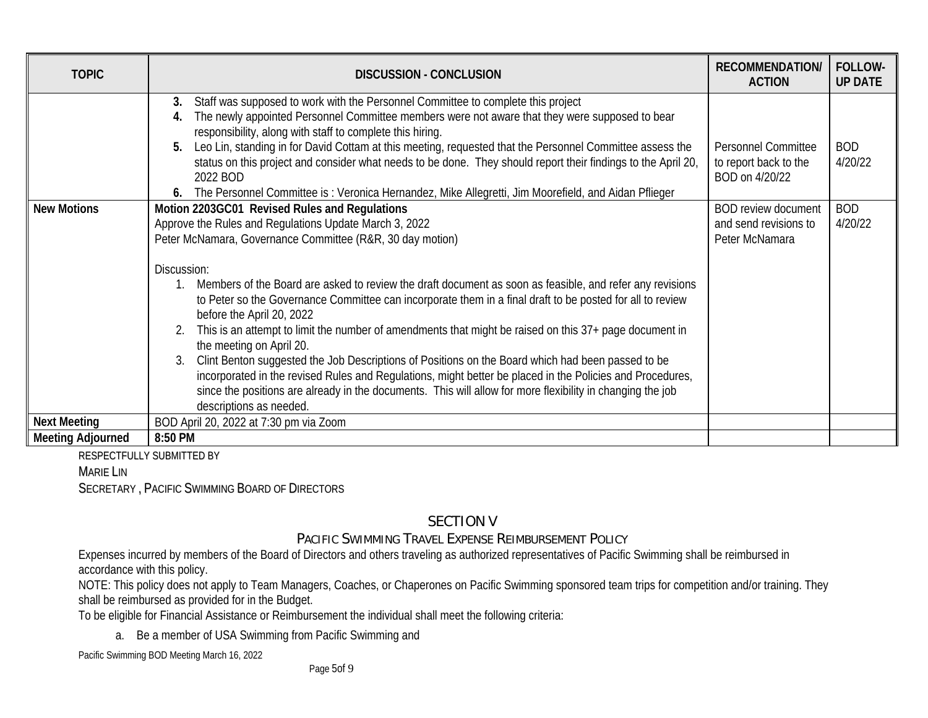| <b>TOPIC</b>             | <b>DISCUSSION - CONCLUSION</b>                                                                                                                                                                                                                                                                                                                                                                                                                                                                                                                                                                                                                                                                                                                                                                                                                                                                                                                                    | <b>RECOMMENDATION/</b><br><b>ACTION</b>                               | FOLLOW-<br><b>UP DATE</b> |
|--------------------------|-------------------------------------------------------------------------------------------------------------------------------------------------------------------------------------------------------------------------------------------------------------------------------------------------------------------------------------------------------------------------------------------------------------------------------------------------------------------------------------------------------------------------------------------------------------------------------------------------------------------------------------------------------------------------------------------------------------------------------------------------------------------------------------------------------------------------------------------------------------------------------------------------------------------------------------------------------------------|-----------------------------------------------------------------------|---------------------------|
|                          | Staff was supposed to work with the Personnel Committee to complete this project<br>3.<br>The newly appointed Personnel Committee members were not aware that they were supposed to bear<br>responsibility, along with staff to complete this hiring.<br>Leo Lin, standing in for David Cottam at this meeting, requested that the Personnel Committee assess the<br>5.<br>status on this project and consider what needs to be done. They should report their findings to the April 20,<br>2022 BOD<br>The Personnel Committee is: Veronica Hernandez, Mike Allegretti, Jim Moorefield, and Aidan Pflieger<br>6.                                                                                                                                                                                                                                                                                                                                                 | <b>Personnel Committee</b><br>to report back to the<br>BOD on 4/20/22 | <b>BOD</b><br>4/20/22     |
| <b>New Motions</b>       | Motion 2203GC01 Revised Rules and Regulations<br>Approve the Rules and Regulations Update March 3, 2022<br>Peter McNamara, Governance Committee (R&R, 30 day motion)<br>Discussion:<br>Members of the Board are asked to review the draft document as soon as feasible, and refer any revisions<br>$1_{1}$<br>to Peter so the Governance Committee can incorporate them in a final draft to be posted for all to review<br>before the April 20, 2022<br>This is an attempt to limit the number of amendments that might be raised on this 37+ page document in<br>2.<br>the meeting on April 20.<br>Clint Benton suggested the Job Descriptions of Positions on the Board which had been passed to be<br>3.<br>incorporated in the revised Rules and Regulations, might better be placed in the Policies and Procedures,<br>since the positions are already in the documents. This will allow for more flexibility in changing the job<br>descriptions as needed. | <b>BOD review document</b><br>and send revisions to<br>Peter McNamara | <b>BOD</b><br>4/20/22     |
| <b>Next Meeting</b>      | BOD April 20, 2022 at 7:30 pm via Zoom                                                                                                                                                                                                                                                                                                                                                                                                                                                                                                                                                                                                                                                                                                                                                                                                                                                                                                                            |                                                                       |                           |
| <b>Meeting Adjourned</b> | 8:50 PM                                                                                                                                                                                                                                                                                                                                                                                                                                                                                                                                                                                                                                                                                                                                                                                                                                                                                                                                                           |                                                                       |                           |

RESPECTFULLY SUBMITTED BY

MARIE LIN

SECRETARY , PACIFIC SWIMMING BOARD OF DIRECTORS

# SECTION V

# PACIFIC SWIMMING TRAVEL EXPENSE REIMBURSEMENT POLICY

Expenses incurred by members of the Board of Directors and others traveling as authorized representatives of Pacific Swimming shall be reimbursed in accordance with this policy.

NOTE: This policy does not apply to Team Managers, Coaches, or Chaperones on Pacific Swimming sponsored team trips for competition and/or training. They shall be reimbursed as provided for in the Budget.

To be eligible for Financial Assistance or Reimbursement the individual shall meet the following criteria:

a. Be a member of USA Swimming from Pacific Swimming and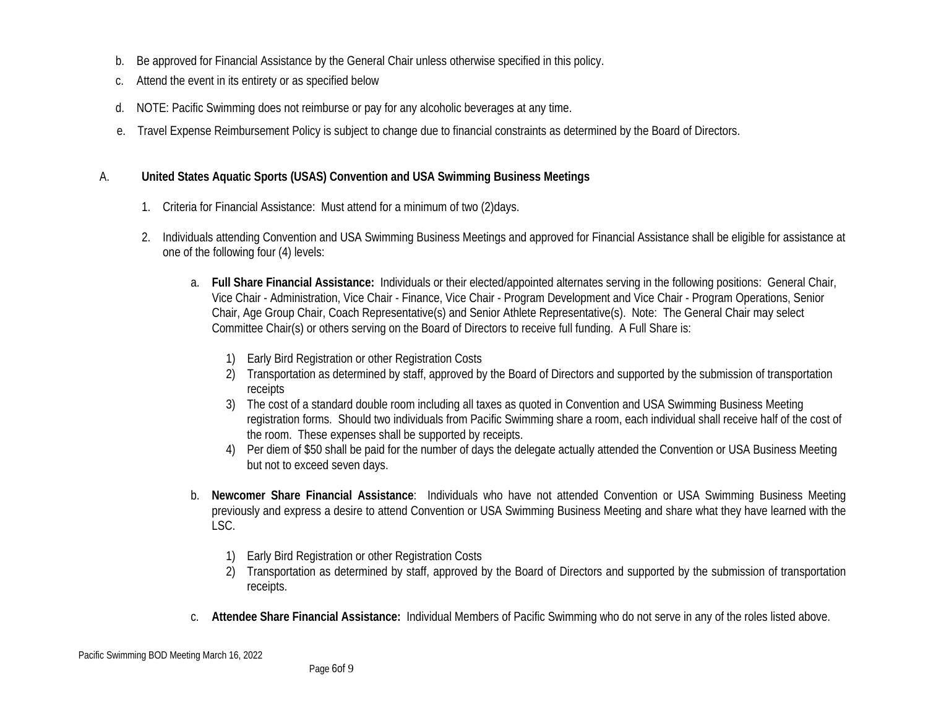- b. Be approved for Financial Assistance by the General Chair unless otherwise specified in this policy.
- c. Attend the event in its entirety or as specified below
- d. NOTE: Pacific Swimming does not reimburse or pay for any alcoholic beverages at any time.
- e. Travel Expense Reimbursement Policy is subject to change due to financial constraints as determined by the Board of Directors.

## A. **United States Aquatic Sports (USAS) Convention and USA Swimming Business Meetings**

- 1. Criteria for Financial Assistance: Must attend for a minimum of two (2)days.
- 2. Individuals attending Convention and USA Swimming Business Meetings and approved for Financial Assistance shall be eligible for assistance at one of the following four (4) levels:
	- a. **Full Share Financial Assistance:** Individuals or their elected/appointed alternates serving in the following positions: General Chair, Vice Chair - Administration, Vice Chair - Finance, Vice Chair - Program Development and Vice Chair - Program Operations, Senior Chair, Age Group Chair, Coach Representative(s) and Senior Athlete Representative(s). Note: The General Chair may select Committee Chair(s) or others serving on the Board of Directors to receive full funding. A Full Share is:
		- 1) Early Bird Registration or other Registration Costs
		- 2) Transportation as determined by staff, approved by the Board of Directors and supported by the submission of transportation receipts
		- 3) The cost of a standard double room including all taxes as quoted in Convention and USA Swimming Business Meeting registration forms. Should two individuals from Pacific Swimming share a room, each individual shall receive half of the cost of the room. These expenses shall be supported by receipts.
		- 4) Per diem of \$50 shall be paid for the number of days the delegate actually attended the Convention or USA Business Meeting but not to exceed seven days.
	- b. **Newcomer Share Financial Assistance**: Individuals who have not attended Convention or USA Swimming Business Meeting previously and express a desire to attend Convention or USA Swimming Business Meeting and share what they have learned with the LSC.
		- 1) Early Bird Registration or other Registration Costs
		- 2) Transportation as determined by staff, approved by the Board of Directors and supported by the submission of transportation receipts.
	- c. **Attendee Share Financial Assistance:** Individual Members of Pacific Swimming who do not serve in any of the roles listed above.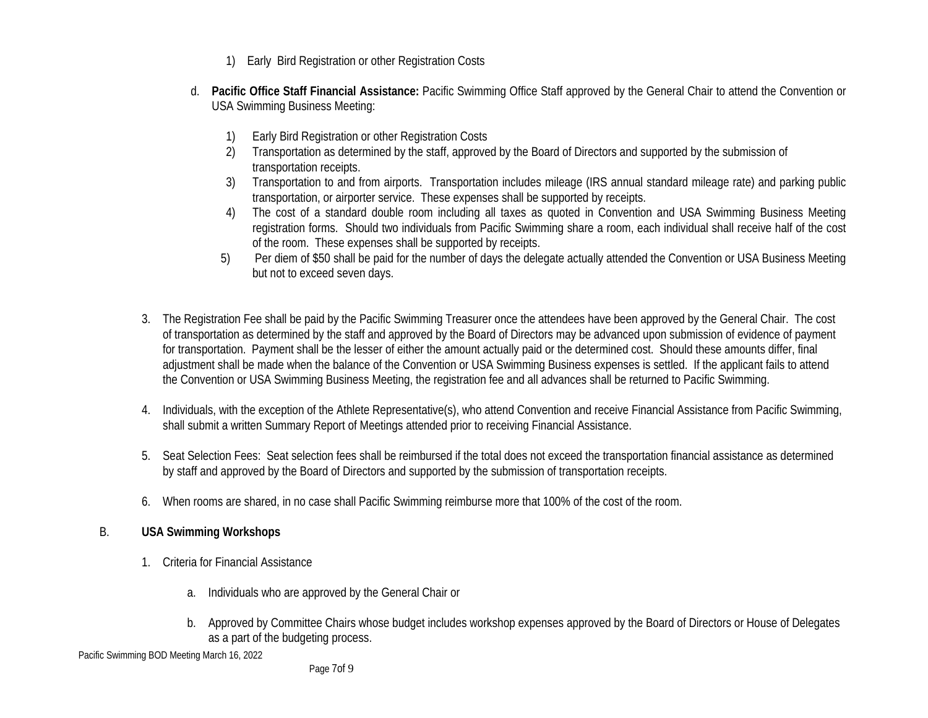- 1) Early Bird Registration or other Registration Costs
- d. **Pacific Office Staff Financial Assistance:** Pacific Swimming Office Staff approved by the General Chair to attend the Convention or USA Swimming Business Meeting:
	- 1) Early Bird Registration or other Registration Costs
	- 2) Transportation as determined by the staff, approved by the Board of Directors and supported by the submission of transportation receipts.
	- 3) Transportation to and from airports. Transportation includes mileage (IRS annual standard mileage rate) and parking public transportation, or airporter service. These expenses shall be supported by receipts.
	- 4) The cost of a standard double room including all taxes as quoted in Convention and USA Swimming Business Meeting registration forms. Should two individuals from Pacific Swimming share a room, each individual shall receive half of the cost of the room. These expenses shall be supported by receipts.
	- 5) Per diem of \$50 shall be paid for the number of days the delegate actually attended the Convention or USA Business Meeting but not to exceed seven days.
- 3. The Registration Fee shall be paid by the Pacific Swimming Treasurer once the attendees have been approved by the General Chair. The cost of transportation as determined by the staff and approved by the Board of Directors may be advanced upon submission of evidence of payment for transportation. Payment shall be the lesser of either the amount actually paid or the determined cost. Should these amounts differ, final adjustment shall be made when the balance of the Convention or USA Swimming Business expenses is settled. If the applicant fails to attend the Convention or USA Swimming Business Meeting, the registration fee and all advances shall be returned to Pacific Swimming.
- 4. Individuals, with the exception of the Athlete Representative(s), who attend Convention and receive Financial Assistance from Pacific Swimming, shall submit a written Summary Report of Meetings attended prior to receiving Financial Assistance.
- 5. Seat Selection Fees: Seat selection fees shall be reimbursed if the total does not exceed the transportation financial assistance as determined by staff and approved by the Board of Directors and supported by the submission of transportation receipts.
- 6. When rooms are shared, in no case shall Pacific Swimming reimburse more that 100% of the cost of the room.

#### B. **USA Swimming Workshops**

- 1. Criteria for Financial Assistance
	- a. Individuals who are approved by the General Chair or
	- b. Approved by Committee Chairs whose budget includes workshop expenses approved by the Board of Directors or House of Delegates as a part of the budgeting process.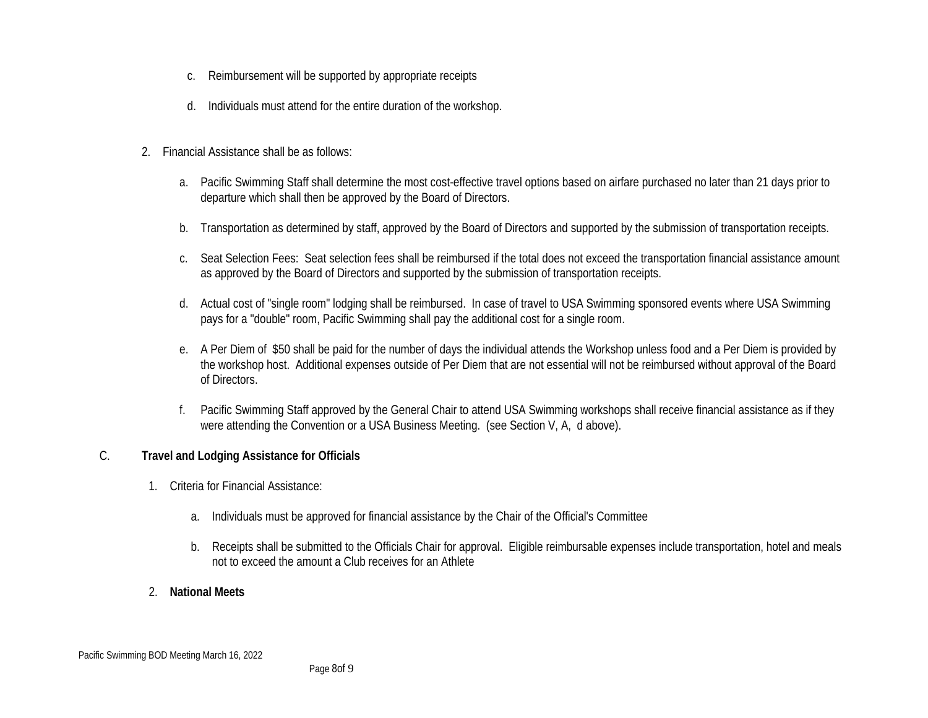- c. Reimbursement will be supported by appropriate receipts
- d. Individuals must attend for the entire duration of the workshop.
- 2. Financial Assistance shall be as follows:
	- a. Pacific Swimming Staff shall determine the most cost-effective travel options based on airfare purchased no later than 21 days prior to departure which shall then be approved by the Board of Directors.
	- b. Transportation as determined by staff, approved by the Board of Directors and supported by the submission of transportation receipts.
	- c. Seat Selection Fees: Seat selection fees shall be reimbursed if the total does not exceed the transportation financial assistance amount as approved by the Board of Directors and supported by the submission of transportation receipts.
	- d. Actual cost of "single room" lodging shall be reimbursed. In case of travel to USA Swimming sponsored events where USA Swimming pays for a "double" room, Pacific Swimming shall pay the additional cost for a single room.
	- e. A Per Diem of \$50 shall be paid for the number of days the individual attends the Workshop unless food and a Per Diem is provided by the workshop host. Additional expenses outside of Per Diem that are not essential will not be reimbursed without approval of the Board of Directors.
	- f. Pacific Swimming Staff approved by the General Chair to attend USA Swimming workshops shall receive financial assistance as if they were attending the Convention or a USA Business Meeting. (see Section V, A, d above).

#### C. **Travel and Lodging Assistance for Officials**

- 1. Criteria for Financial Assistance:
	- a. Individuals must be approved for financial assistance by the Chair of the Official's Committee
	- b. Receipts shall be submitted to the Officials Chair for approval. Eligible reimbursable expenses include transportation, hotel and meals not to exceed the amount a Club receives for an Athlete
- 2. **National Meets**